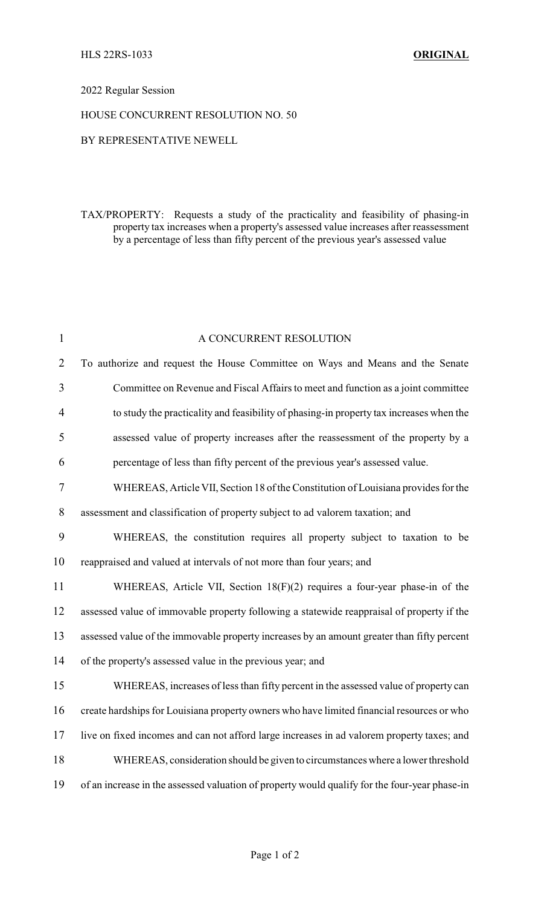## 2022 Regular Session

## HOUSE CONCURRENT RESOLUTION NO. 50

## BY REPRESENTATIVE NEWELL

TAX/PROPERTY: Requests a study of the practicality and feasibility of phasing-in property tax increases when a property's assessed value increases after reassessment by a percentage of less than fifty percent of the previous year's assessed value

| $\mathbf{1}$   | A CONCURRENT RESOLUTION                                                                       |
|----------------|-----------------------------------------------------------------------------------------------|
| $\overline{2}$ | To authorize and request the House Committee on Ways and Means and the Senate                 |
| 3              | Committee on Revenue and Fiscal Affairs to meet and function as a joint committee             |
| $\overline{4}$ | to study the practicality and feasibility of phasing-in property tax increases when the       |
| 5              | assessed value of property increases after the reassessment of the property by a              |
| 6              | percentage of less than fifty percent of the previous year's assessed value.                  |
| 7              | WHEREAS, Article VII, Section 18 of the Constitution of Louisiana provides for the            |
| 8              | assessment and classification of property subject to ad valorem taxation; and                 |
| 9              | WHEREAS, the constitution requires all property subject to taxation to be                     |
| 10             | reappraised and valued at intervals of not more than four years; and                          |
| 11             | WHEREAS, Article VII, Section 18(F)(2) requires a four-year phase-in of the                   |
| 12             | assessed value of immovable property following a statewide reappraisal of property if the     |
| 13             | assessed value of the immovable property increases by an amount greater than fifty percent    |
| 14             | of the property's assessed value in the previous year; and                                    |
| 15             | WHEREAS, increases of less than fifty percent in the assessed value of property can           |
| 16             | create hardships for Louisiana property owners who have limited financial resources or who    |
| 17             | live on fixed incomes and can not afford large increases in ad valorem property taxes; and    |
| 18             | WHEREAS, consideration should be given to circumstances where a lower threshold               |
| 19             | of an increase in the assessed valuation of property would qualify for the four-year phase-in |